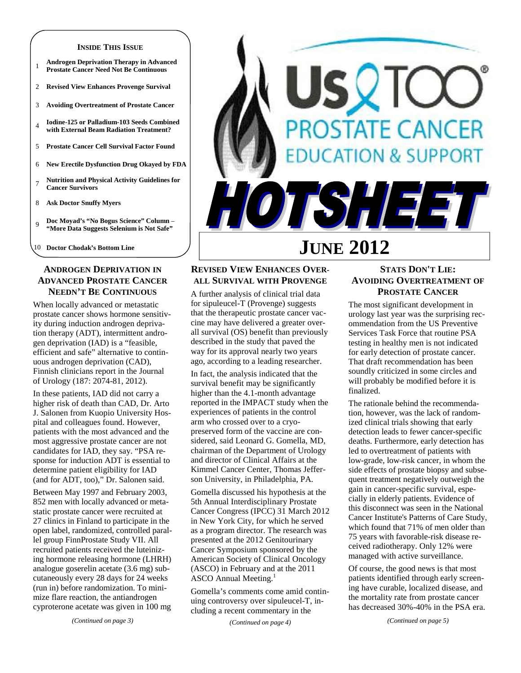#### **INSIDE THIS ISSUE**

- <sup>1</sup>**Androgen Deprivation Therapy in Advanced Prostate Cancer Need Not Be Continuous**
- 2 **Revised View Enhances Provenge Survival**
- 3 **Avoiding Overtreatment of Prostate Cancer**
- <sup>4</sup>**Iodine-125 or Palladium-103 Seeds Combined with External Beam Radiation Treatment?**
- 5 **Prostate Cancer Cell Survival Factor Found**
- 6 **New Erectile Dysfunction Drug Okayed by FDA**
- <sup>7</sup>**Nutrition and Physical Activity Guidelines for Cancer Survivors**
- 8 **Ask Doctor Snuffy Myers**
- <sup>9</sup>**Doc Moyad's "No Bogus Science" Column "More Data Suggests Selenium is Not Safe"**
- 10 **Doctor Chodak's Bottom Line**

## **ANDROGEN DEPRIVATION IN ADVANCED PROSTATE CANCER NEEDN'T BE CONTINUOUS**

When locally advanced or metastatic prostate cancer shows hormone sensitivity during induction androgen deprivation therapy (ADT), intermittent androgen deprivation (IAD) is a "feasible, efficient and safe" alternative to continuous androgen deprivation (CAD), Finnish clinicians report in the Journal of Urology (187: 2074-81, 2012).

In these patients, IAD did not carry a higher risk of death than CAD, Dr. Arto J. Salonen from Kuopio University Hospital and colleagues found. However, patients with the most advanced and the most aggressive prostate cancer are not candidates for IAD, they say. "PSA response for induction ADT is essential to determine patient eligibility for IAD (and for ADT, too)," Dr. Salonen said.

Between May 1997 and February 2003, 852 men with locally advanced or metastatic prostate cancer were recruited at 27 clinics in Finland to participate in the open label, randomized, controlled parallel group FinnProstate Study VII. All recruited patients received the luteinizing hormone releasing hormone (LHRH) analogue goserelin acetate (3.6 mg) subcutaneously every 28 days for 24 weeks (run in) before randomization. To minimize flare reaction, the antiandrogen cyproterone acetate was given in 100 mg

SQT **OSTATE CANCER ON & SUPPORT** TSHEET **JUNE 2012** 

## **REVISED VIEW ENHANCES OVER-ALL SURVIVAL WITH PROVENGE**

A further analysis of clinical trial data for sipuleucel-T (Provenge) suggests that the therapeutic prostate cancer vaccine may have delivered a greater overall survival (OS) benefit than previously described in the study that paved the way for its approval nearly two years ago, according to a leading researcher.

In fact, the analysis indicated that the survival benefit may be significantly higher than the 4.1-month advantage reported in the IMPACT study when the experiences of patients in the control arm who crossed over to a cryopreserved form of the vaccine are considered, said Leonard G. Gomella, MD, chairman of the Department of Urology and director of Clinical Affairs at the Kimmel Cancer Center, Thomas Jefferson University, in Philadelphia, PA.

Gomella discussed his hypothesis at the 5th Annual Interdisciplinary Prostate Cancer Congress (IPCC) 31 March 2012 in New York City, for which he served as a program director. The research was presented at the 2012 Genitourinary Cancer Symposium sponsored by the American Society of Clinical Oncology (ASCO) in February and at the 2011 ASCO Annual Meeting.<sup>1</sup>

Gomella's comments come amid continuing controversy over sipuleucel-T, including a recent commentary in the

*(Continued on page 4)* 

## **STATS DON'T LIE: AVOIDING OVERTREATMENT OF PROSTATE CANCER**

The most significant development in urology last year was the surprising recommendation from the US Preventive Services Task Force that routine PSA testing in healthy men is not indicated for early detection of prostate cancer. That draft recommendation has been soundly criticized in some circles and will probably be modified before it is finalized.

The rationale behind the recommendation, however, was the lack of randomized clinical trials showing that early detection leads to fewer cancer-specific deaths. Furthermore, early detection has led to overtreatment of patients with low-grade, low-risk cancer, in whom the side effects of prostate biopsy and subsequent treatment negatively outweigh the gain in cancer-specific survival, especially in elderly patients. Evidence of this disconnect was seen in the National Cancer Institute's Patterns of Care Study, which found that 71% of men older than 75 years with favorable-risk disease received radiotherapy. Only 12% were managed with active surveillance.

Of course, the good news is that most patients identified through early screening have curable, localized disease, and the mortality rate from prostate cancer has decreased 30%-40% in the PSA era.

*(Continued on page 5)* 

*(Continued on page 3)*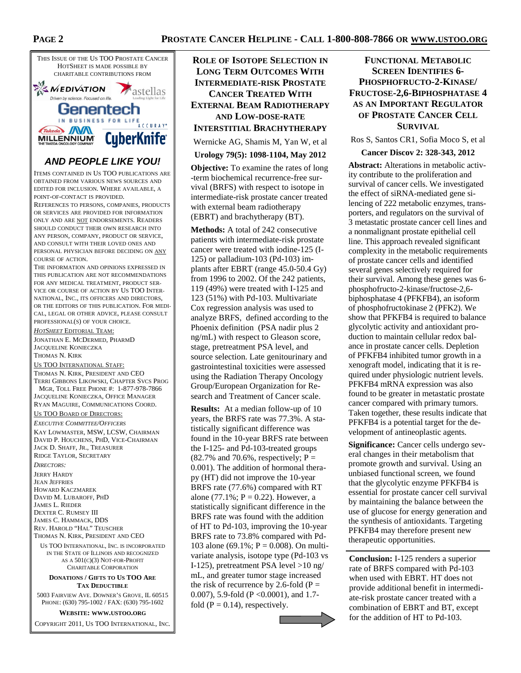

## **AND PEOPLE LIKE YOU!**

ITEMS CONTAINED IN US TOO PUBLICATIONS ARE OBTAINED FROM VARIOUS NEWS SOURCES AND EDITED FOR INCLUSION. WHERE AVAILABLE, A POINT-OF-CONTACT IS PROVIDED.

REFERENCES TO PERSONS, COMPANIES, PRODUCTS OR SERVICES ARE PROVIDED FOR INFORMATION ONLY AND ARE NOT ENDORSEMENTS. READERS SHOULD CONDUCT THEIR OWN RESEARCH INTO ANY PERSON, COMPANY, PRODUCT OR SERVICE, AND CONSULT WITH THEIR LOVED ONES AND PERSONAL PHYSICIAN BEFORE DECIDING ON ANY COURSE OF ACTION.

THE INFORMATION AND OPINIONS EXPRESSED IN THIS PUBLICATION ARE NOT RECOMMENDATIONS FOR ANY MEDICAL TREATMENT, PRODUCT SER-VICE OR COURSE OF ACTION BY US TOO INTER-NATIONAL, INC., ITS OFFICERS AND DIRECTORS, OR THE EDITORS OF THIS PUBLICATION. FOR MEDI-CAL, LEGAL OR OTHER ADVICE, PLEASE CONSULT PROFESSIONAL(S) OF YOUR CHOICE.

*HOTSHEET* EDITORIAL TEAM: JONATHAN E. MCDERMED, PHARMD JACQUELINE KONIECZKA THOMAS N. KIRK US TOO INTERNATIONAL STAFF: THOMAS N. KIRK, PRESIDENT AND CEO TERRI GIBBONS LIKOWSKI, CHAPTER SVCS PROG MGR, TOLL FREE PHONE #: 1-877-978-7866 JACQUELINE KONIECZKA, OFFICE MANAGER

RYAN MAGUIRE, COMMUNICATIONS COORD.

US TOO BOARD OF DIRECTORS:

*EXECUTIVE COMMITTEE/OFFICERS* KAY LOWMASTER, MSW, LCSW, CHAIRMAN DAVID P. HOUCHENS, PHD, VICE-CHAIRMAN JACK D. SHAFF, JR., TREASURER RIDGE TAYLOR, SECRETARY

*DIRECTORS:*  JERRY HARDY JEAN JEFFRIES HOWARD KACZMAREK DAVID M. LUBAROFF, PHD JAMES L. RIEDER DEXTER C. RUMSEY III JAMES C. HAMMACK, DDS REV. HAROLD "HAL" TEUSCHER THOMAS N. KIRK, PRESIDENT AND CEO

US TOO INTERNATIONAL, INC. IS INCORPORATED IN THE STATE OF ILLINOIS AND RECOGNIZED AS A 501(C)(3) NOT-FOR-PROFIT CHARITABLE CORPORATION

#### **DONATIONS / GIFTS TO US TOO ARE TAX DEDUCTIBLE**

5003 FAIRVIEW AVE. DOWNER'S GROVE, IL 60515 PHONE: (630) 795-1002 / FAX: (630) 795-1602

**WEBSITE: WWW.USTOO.ORG**

COPYRIGHT 2011, US TOO INTERNATIONAL, INC.

## **ROLE OF ISOTOPE SELECTION IN LONG TERM OUTCOMES WITH INTERMEDIATE-RISK PROSTATE CANCER TREATED WITH EXTERNAL BEAM RADIOTHERAPY AND LOW-DOSE-RATE INTERSTITIAL BRACHYTHERAPY**

Wernicke AG, Shamis M, Yan W, et al

### **Urology 79(5): 1098-1104, May 2012**

**Objective:** To examine the rates of long -term biochemical recurrence-free survival (BRFS) with respect to isotope in intermediate-risk prostate cancer treated with external beam radiotherapy (EBRT) and brachytherapy (BT).

**Methods:** A total of 242 consecutive patients with intermediate-risk prostate cancer were treated with iodine-125 (I-125) or palladium-103 (Pd-103) implants after EBRT (range 45.0-50.4 Gy) from 1996 to 2002. Of the 242 patients, 119 (49%) were treated with I-125 and 123 (51%) with Pd-103. Multivariate Cox regression analysis was used to analyze BRFS, defined according to the Phoenix definition (PSA nadir plus 2 ng/mL) with respect to Gleason score, stage, pretreatment PSA level, and source selection. Late genitourinary and gastrointestinal toxicities were assessed using the Radiation Therapy Oncology Group/European Organization for Research and Treatment of Cancer scale.

**Results:** At a median follow-up of 10 years, the BRFS rate was 77.3%. A statistically significant difference was found in the 10-year BRFS rate between the I-125- and Pd-103-treated groups  $(82.7\%$  and 70.6%, respectively; P = 0.001). The addition of hormonal therapy (HT) did not improve the 10-year BRFS rate (77.6%) compared with RT alone (77.1%;  $P = 0.22$ ). However, a statistically significant difference in the BRFS rate was found with the addition of HT to Pd-103, improving the 10-year BRFS rate to 73.8% compared with Pd-103 alone (69.1%;  $P = 0.008$ ). On multivariate analysis, isotope type (Pd-103 vs I-125), pretreatment PSA level >10 ng/ mL, and greater tumor stage increased the risk of recurrence by 2.6-fold ( $P =$ 0.007), 5.9-fold (P <0.0001), and 1.7 fold  $(P = 0.14)$ , respectively.



## **FUNCTIONAL METABOLIC SCREEN IDENTIFIES 6- PHOSPHOFRUCTO-2-KINASE/ FRUCTOSE-2,6-BIPHOSPHATASE 4 AS AN IMPORTANT REGULATOR OF PROSTATE CANCER CELL SURVIVAL**

Ros S, Santos CR1, Sofia Moco S, et al

#### **Cancer Discov 2: 328-343, 2012**

**Abstract:** Alterations in metabolic activity contribute to the proliferation and survival of cancer cells. We investigated the effect of siRNA-mediated gene silencing of 222 metabolic enzymes, transporters, and regulators on the survival of 3 metastatic prostate cancer cell lines and a nonmalignant prostate epithelial cell line. This approach revealed significant complexity in the metabolic requirements of prostate cancer cells and identified several genes selectively required for their survival. Among these genes was 6 phosphofructo-2-kinase/fructose-2,6 biphosphatase 4 (PFKFB4), an isoform of phosphofructokinase 2 (PFK2). We show that PFKFB4 is required to balance glycolytic activity and antioxidant production to maintain cellular redox balance in prostate cancer cells. Depletion of PFKFB4 inhibited tumor growth in a xenograft model, indicating that it is required under physiologic nutrient levels. PFKFB4 mRNA expression was also found to be greater in metastatic prostate cancer compared with primary tumors. Taken together, these results indicate that PFKFB4 is a potential target for the development of antineoplastic agents.

**Significance:** Cancer cells undergo several changes in their metabolism that promote growth and survival. Using an unbiased functional screen, we found that the glycolytic enzyme PFKFB4 is essential for prostate cancer cell survival by maintaining the balance between the use of glucose for energy generation and the synthesis of antioxidants. Targeting PFKFB4 may therefore present new therapeutic opportunities.

**Conclusion:** I-125 renders a superior rate of BRFS compared with Pd-103 when used with EBRT. HT does not provide additional benefit in intermediate-risk prostate cancer treated with a combination of EBRT and BT, except for the addition of HT to Pd-103.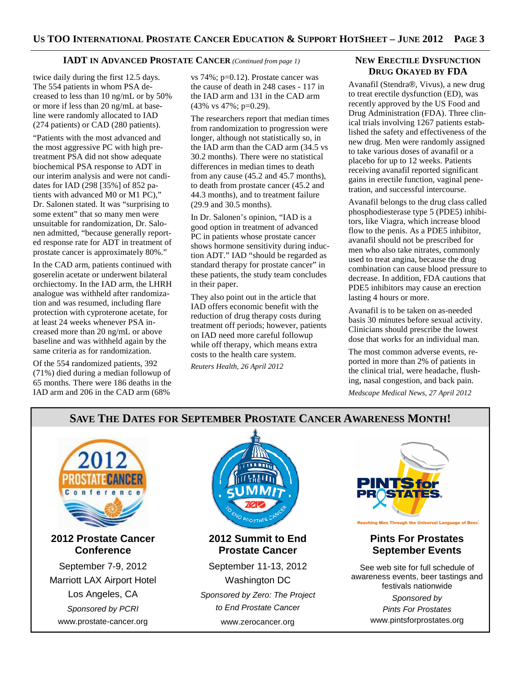#### **IADT IN ADVANCED PROSTATE CANCER** *(Continued from page 1)*

twice daily during the first 12.5 days. The 554 patients in whom PSA decreased to less than 10 ng/mL or by 50% or more if less than 20 ng/mL at baseline were randomly allocated to IAD (274 patients) or CAD (280 patients).

"Patients with the most advanced and the most aggressive PC with high pretreatment PSA did not show adequate biochemical PSA response to ADT in our interim analysis and were not candidates for IAD (298 [35%] of 852 patients with advanced M0 or M1 PC)," Dr. Salonen stated. It was "surprising to some extent" that so many men were unsuitable for randomization, Dr. Salonen admitted, "because generally reported response rate for ADT in treatment of prostate cancer is approximately 80%."

In the CAD arm, patients continued with goserelin acetate or underwent bilateral orchiectomy. In the IAD arm, the LHRH analogue was withheld after randomization and was resumed, including flare protection with cyproterone acetate, for at least 24 weeks whenever PSA increased more than 20 ng/mL or above baseline and was withheld again by the same criteria as for randomization.

Of the 554 randomized patients, 392 (71%) died during a median followup of 65 months. There were 186 deaths in the IAD arm and 206 in the CAD arm (68%

vs 74%; p=0.12). Prostate cancer was the cause of death in 248 cases - 117 in the IAD arm and 131 in the CAD arm (43% vs 47%; p=0.29).

The researchers report that median times from randomization to progression were longer, although not statistically so, in the IAD arm than the CAD arm (34.5 vs 30.2 months). There were no statistical differences in median times to death from any cause (45.2 and 45.7 months), to death from prostate cancer (45.2 and 44.3 months), and to treatment failure (29.9 and 30.5 months).

In Dr. Salonen's opinion, "IAD is a good option in treatment of advanced PC in patients whose prostate cancer shows hormone sensitivity during induction ADT." IAD "should be regarded as standard therapy for prostate cancer" in these patients, the study team concludes in their paper.

They also point out in the article that IAD offers economic benefit with the reduction of drug therapy costs during treatment off periods; however, patients on IAD need more careful followup while off therapy, which means extra costs to the health care system.

*Reuters Health, 26 April 2012* 

## **NEW ERECTILE DYSFUNCTION DRUG OKAYED BY FDA**

Avanafil (Stendra®, Vivus), a new drug to treat erectile dysfunction (ED), was recently approved by the US Food and Drug Administration (FDA). Three clinical trials involving 1267 patients established the safety and effectiveness of the new drug. Men were randomly assigned to take various doses of avanafil or a placebo for up to 12 weeks. Patients receiving avanafil reported significant gains in erectile function, vaginal penetration, and successful intercourse.

Avanafil belongs to the drug class called phosphodiesterase type 5 (PDE5) inhibitors, like Viagra, which increase blood flow to the penis. As a PDE5 inhibitor, avanafil should not be prescribed for men who also take nitrates, commonly used to treat angina, because the drug combination can cause blood pressure to decrease. In addition, FDA cautions that PDE5 inhibitors may cause an erection lasting 4 hours or more.

Avanafil is to be taken on as-needed basis 30 minutes before sexual activity. Clinicians should prescribe the lowest dose that works for an individual man.

The most common adverse events, reported in more than 2% of patients in the clinical trial, were headache, flushing, nasal congestion, and back pain. *Medscape Medical News, 27 April 2012* 

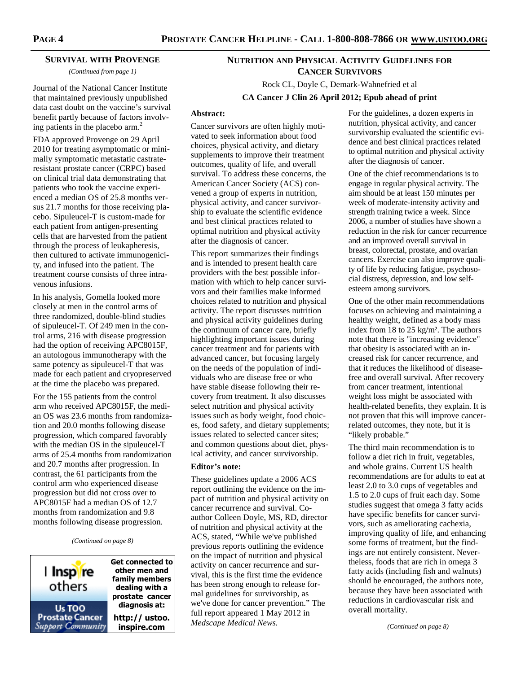#### **SURVIVAL WITH PROVENGE**

*(Continued from page 1)* 

Journal of the National Cancer Institute that maintained previously unpublished data cast doubt on the vaccine's survival benefit partly because of factors involving patients in the placebo arm.<sup>2</sup>

FDA approved Provenge on 29 April 2010 for treating asymptomatic or minimally symptomatic metastatic castrateresistant prostate cancer (CRPC) based on clinical trial data demonstrating that patients who took the vaccine experienced a median OS of 25.8 months versus 21.7 months for those receiving placebo. Sipuleucel-T is custom-made for each patient from antigen-presenting cells that are harvested from the patient through the process of leukapheresis, then cultured to activate immunogenicity, and infused into the patient. The treatment course consists of three intravenous infusions.

In his analysis, Gomella looked more closely at men in the control arms of three randomized, double-blind studies of sipuleucel-T. Of 249 men in the control arms, 216 with disease progression had the option of receiving APC8015F, an autologous immunotherapy with the same potency as sipuleucel-T that was made for each patient and cryopreserved at the time the placebo was prepared.

For the 155 patients from the control arm who received APC8015F, the median OS was 23.6 months from randomization and 20.0 months following disease progression, which compared favorably with the median OS in the sipuleucel-T arms of 25.4 months from randomization and 20.7 months after progression. In contrast, the 61 participants from the control arm who experienced disease progression but did not cross over to APC8015F had a median OS of 12.7 months from randomization and 9.8 months following disease progression.

*(Continued on page 8)* 



**Get connected to other men and family members dealing with a prostate cancer diagnosis at: http:// ustoo. inspire.com**

## **NUTRITION AND PHYSICAL ACTIVITY GUIDELINES FOR CANCER SURVIVORS**

Rock CL, Doyle C, Demark-Wahnefried et al **CA Cancer J Clin 26 April 2012; Epub ahead of print**

#### **Abstract:**

Cancer survivors are often highly motivated to seek information about food choices, physical activity, and dietary supplements to improve their treatment outcomes, quality of life, and overall survival. To address these concerns, the American Cancer Society (ACS) convened a group of experts in nutrition, physical activity, and cancer survivorship to evaluate the scientific evidence and best clinical practices related to optimal nutrition and physical activity after the diagnosis of cancer.

This report summarizes their findings and is intended to present health care providers with the best possible information with which to help cancer survivors and their families make informed choices related to nutrition and physical activity. The report discusses nutrition and physical activity guidelines during the continuum of cancer care, briefly highlighting important issues during cancer treatment and for patients with advanced cancer, but focusing largely on the needs of the population of individuals who are disease free or who have stable disease following their recovery from treatment. It also discusses select nutrition and physical activity issues such as body weight, food choices, food safety, and dietary supplements; issues related to selected cancer sites; and common questions about diet, physical activity, and cancer survivorship.

## **Editor's note:**

These guidelines update a 2006 ACS report outlining the evidence on the impact of nutrition and physical activity on cancer recurrence and survival. Coauthor Colleen Doyle, MS, RD, director of nutrition and physical activity at the ACS, stated, "While we've published previous reports outlining the evidence on the impact of nutrition and physical activity on cancer recurrence and survival, this is the first time the evidence has been strong enough to release formal guidelines for survivorship, as we've done for cancer prevention." The full report appeared 1 May 2012 in *Medscape Medical News.* 

For the guidelines, a dozen experts in nutrition, physical activity, and cancer survivorship evaluated the scientific evidence and best clinical practices related to optimal nutrition and physical activity after the diagnosis of cancer.

One of the chief recommendations is to engage in regular physical activity. The aim should be at least 150 minutes per week of moderate-intensity activity and strength training twice a week. Since 2006, a number of studies have shown a reduction in the risk for cancer recurrence and an improved overall survival in breast, colorectal, prostate, and ovarian cancers. Exercise can also improve quality of life by reducing fatigue, psychosocial distress, depression, and low selfesteem among survivors.

One of the other main recommendations focuses on achieving and maintaining a healthy weight, defined as a body mass index from 18 to 25 kg/m². The authors note that there is "increasing evidence" that obesity is associated with an increased risk for cancer recurrence, and that it reduces the likelihood of diseasefree and overall survival. After recovery from cancer treatment, intentional weight loss might be associated with health-related benefits, they explain. It is not proven that this will improve cancerrelated outcomes, they note, but it is "likely probable."

The third main recommendation is to follow a diet rich in fruit, vegetables, and whole grains. Current US health recommendations are for adults to eat at least 2.0 to 3.0 cups of vegetables and 1.5 to 2.0 cups of fruit each day. Some studies suggest that omega 3 fatty acids have specific benefits for cancer survivors, such as ameliorating cachexia, improving quality of life, and enhancing some forms of treatment, but the findings are not entirely consistent. Nevertheless, foods that are rich in omega 3 fatty acids (including fish and walnuts) should be encouraged, the authors note, because they have been associated with reductions in cardiovascular risk and overall mortality.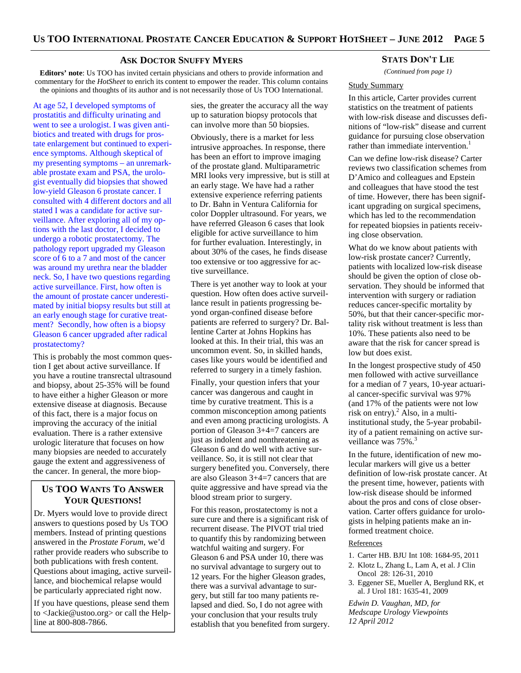#### **ASK DOCTOR SNUFFY MYERS**

**Editors' note**: Us TOO has invited certain physicians and others to provide information and commentary for the *HotSheet* to enrich its content to empower the reader. This column contains the opinions and thoughts of its author and is not necessarily those of Us TOO International.

At age 52, I developed symptoms of prostatitis and difficulty urinating and went to see a urologist. I was given antibiotics and treated with drugs for prostate enlargement but continued to experience symptoms. Although skeptical of my presenting symptoms – an unremarkable prostate exam and PSA, the urologist eventually did biopsies that showed low-yield Gleason 6 prostate cancer. I consulted with 4 different doctors and all stated I was a candidate for active surveillance. After exploring all of my options with the last doctor, I decided to undergo a robotic prostatectomy. The pathology report upgraded my Gleason score of 6 to a 7 and most of the cancer was around my urethra near the bladder neck. So, I have two questions regarding active surveillance. First, how often is the amount of prostate cancer underestimated by initial biopsy results but still at an early enough stage for curative treatment? Secondly, how often is a biopsy Gleason 6 cancer upgraded after radical prostatectomy?

This is probably the most common question I get about active surveillance. If you have a routine transrectal ultrasound and biopsy, about 25-35% will be found to have either a higher Gleason or more extensive disease at diagnosis. Because of this fact, there is a major focus on improving the accuracy of the initial evaluation. There is a rather extensive urologic literature that focuses on how many biopsies are needed to accurately gauge the extent and aggressiveness of the cancer. In general, the more biop-

## **US TOO WANTS TO ANSWER YOUR QUESTIONS!**

Dr. Myers would love to provide direct answers to questions posed by Us TOO members. Instead of printing questions answered in the *Prostate Forum*, we'd rather provide readers who subscribe to both publications with fresh content. Questions about imaging, active surveillance, and biochemical relapse would be particularly appreciated right now.

If you have questions, please send them to <Jackie@ustoo.org> or call the Helpline at 800-808-7866.

sies, the greater the accuracy all the way up to saturation biopsy protocols that can involve more than 50 biopsies.

Obviously, there is a market for less intrusive approaches. In response, there has been an effort to improve imaging of the prostate gland. Multiparametric MRI looks very impressive, but is still at an early stage. We have had a rather extensive experience referring patients to Dr. Bahn in Ventura California for color Doppler ultrasound. For years, we have referred Gleason 6 cases that look eligible for active surveillance to him for further evaluation. Interestingly, in about 30% of the cases, he finds disease too extensive or too aggressive for active surveillance.

There is yet another way to look at your question. How often does active surveillance result in patients progressing beyond organ-confined disease before patients are referred to surgery? Dr. Ballentine Carter at Johns Hopkins has looked at this. In their trial, this was an uncommon event. So, in skilled hands, cases like yours would be identified and referred to surgery in a timely fashion.

Finally, your question infers that your cancer was dangerous and caught in time by curative treatment. This is a common misconception among patients and even among practicing urologists. A portion of Gleason 3+4=7 cancers are just as indolent and nonthreatening as Gleason 6 and do well with active surveillance. So, it is still not clear that surgery benefited you. Conversely, there are also Gleason 3+4=7 cancers that are quite aggressive and have spread via the blood stream prior to surgery.

For this reason, prostatectomy is not a sure cure and there is a significant risk of recurrent disease. The PIVOT trial tried to quantify this by randomizing between watchful waiting and surgery. For Gleason 6 and PSA under 10, there was no survival advantage to surgery out to 12 years. For the higher Gleason grades, there was a survival advantage to surgery, but still far too many patients relapsed and died. So, I do not agree with your conclusion that your results truly establish that you benefited from surgery.

#### **STATS DON'T LIE**

*(Continued from page 1)* 

#### Study Summary

In this article, Carter provides current statistics on the treatment of patients with low-risk disease and discusses definitions of "low-risk" disease and current guidance for pursuing close observation rather than immediate intervention.<sup>1</sup>

Can we define low-risk disease? Carter reviews two classification schemes from D'Amico and colleagues and Epstein and colleagues that have stood the test of time. However, there has been significant upgrading on surgical specimens, which has led to the recommendation for repeated biopsies in patients receiving close observation.

What do we know about patients with low-risk prostate cancer? Currently, patients with localized low-risk disease should be given the option of close observation. They should be informed that intervention with surgery or radiation reduces cancer-specific mortality by 50%, but that their cancer-specific mortality risk without treatment is less than 10%. These patients also need to be aware that the risk for cancer spread is low but does exist.

In the longest prospective study of 450 men followed with active surveillance for a median of 7 years, 10-year actuarial cancer-specific survival was 97% (and 17% of the patients were not low risk on entry). $^{2}$  Also, in a multiinstitutional study, the 5-year probability of a patient remaining on active surveillance was 75%.<sup>3</sup>

In the future, identification of new molecular markers will give us a better definition of low-risk prostate cancer. At the present time, however, patients with low-risk disease should be informed about the pros and cons of close observation. Carter offers guidance for urologists in helping patients make an informed treatment choice.

## References

- 1. Carter HB. BJU Int 108: 1684-95, 2011
- 2. Klotz L, Zhang L, Lam A, et al. J Clin Oncol 28: 126-31, 2010
- 3. Eggener SE, Mueller A, Berglund RK, et al. J Urol 181: 1635-41, 2009

*Edwin D. Vaughan, MD, for Medscape Urology Viewpoints 12 April 2012*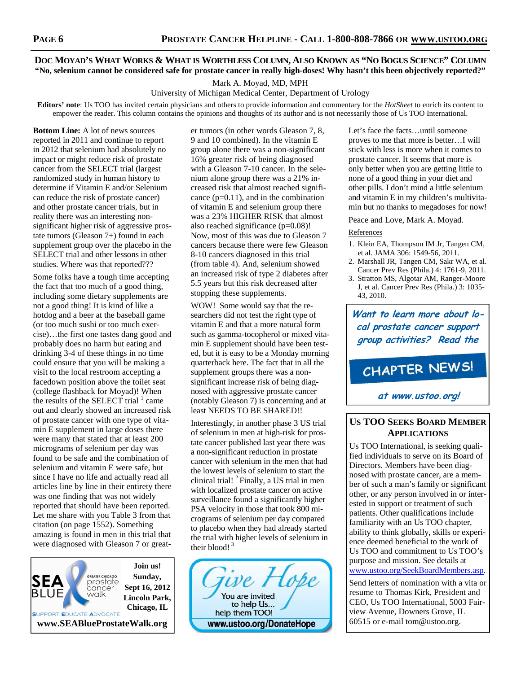## DOC MOYAD'S WHAT WORKS & WHAT IS WORTHLESS COLUMN, ALSO KNOWN AS "NO BOGUS SCIENCE" COLUMN **"No, selenium cannot be considered safe for prostate cancer in really high-doses! Why hasn't this been objectively reported?"**

Mark A. Moyad, MD, MPH

University of Michigan Medical Center, Department of Urology

**Editors' note**: Us TOO has invited certain physicians and others to provide information and commentary for the *HotSheet* to enrich its content to empower the reader. This column contains the opinions and thoughts of its author and is not necessarily those of Us TOO International.

**Bottom Line:** A lot of news sources reported in 2011 and continue to report in 2012 that selenium had absolutely no impact or might reduce risk of prostate cancer from the SELECT trial (largest randomized study in human history to determine if Vitamin E and/or Selenium can reduce the risk of prostate cancer) and other prostate cancer trials, but in reality there was an interesting nonsignificant higher risk of aggressive prostate tumors (Gleason 7+) found in each supplement group over the placebo in the SELECT trial and other lessons in other studies. Where was that reported???

Some folks have a tough time accepting the fact that too much of a good thing, including some dietary supplements are not a good thing! It is kind of like a hotdog and a beer at the baseball game (or too much sushi or too much exercise)…the first one tastes dang good and probably does no harm but eating and drinking 3-4 of these things in no time could ensure that you will be making a visit to the local restroom accepting a facedown position above the toilet seat (college flashback for Moyad)! When the results of the SELECT trial  $1$  came out and clearly showed an increased risk of prostate cancer with one type of vitamin E supplement in large doses there were many that stated that at least 200 micrograms of selenium per day was found to be safe and the combination of selenium and vitamin E were safe, but since I have no life and actually read all articles line by line in their entirety there was one finding that was not widely reported that should have been reported. Let me share with you Table 3 from that citation (on page 1552). Something amazing is found in men in this trial that were diagnosed with Gleason 7 or great-

**Join us! GREATER CHICAGO Sunday,**  SEA oreaner cricago<br>prostate<br>cancer **Sept 16, 2012**  3LUE valk **Lincoln Park, Chicago, IL**  SUPPORT EDUCATE ADVOCATE **www.SEABlueProstateWalk.org** 

er tumors (in other words Gleason 7, 8, 9 and 10 combined). In the vitamin E group alone there was a non-significant 16% greater risk of being diagnosed with a Gleason 7-10 cancer. In the selenium alone group there was a 21% increased risk that almost reached significance  $(p=0.11)$ , and in the combination of vitamin E and selenium group there was a 23% HIGHER RISK that almost also reached significance (p=0.08)! Now, most of this was due to Gleason 7 cancers because there were few Gleason 8-10 cancers diagnosed in this trial (from table 4). And, selenium showed an increased risk of type 2 diabetes after 5.5 years but this risk decreased after stopping these supplements.

WOW! Some would say that the researchers did not test the right type of vitamin E and that a more natural form such as gamma-tocopherol or mixed vitamin E supplement should have been tested, but it is easy to be a Monday morning quarterback here. The fact that in all the supplement groups there was a nonsignificant increase risk of being diagnosed with aggressive prostate cancer (notably Gleason 7) is concerning and at least NEEDS TO BE SHARED!!

Interestingly, in another phase 3 US trial of selenium in men at high-risk for prostate cancer published last year there was a non-significant reduction in prostate cancer with selenium in the men that had the lowest levels of selenium to start the clinical trial!  ${}^{2}$  Finally, a US trial in men with localized prostate cancer on active surveillance found a significantly higher PSA velocity in those that took 800 micrograms of selenium per day compared to placebo when they had already started the trial with higher levels of selenium in their blood! $3$ 



Let's face the facts…until someone proves to me that more is better…I will stick with less is more when it comes to prostate cancer. It seems that more is only better when you are getting little to none of a good thing in your diet and other pills. I don't mind a little selenium and vitamin E in my children's multivitamin but no thanks to megadoses for now!

Peace and Love, Mark A. Moyad.

## References

- 1. Klein EA, Thompson IM Jr, Tangen CM, et al. JAMA 306: 1549-56, 2011.
- 2. Marshall JR, Tangen CM, Sakr WA, et al. Cancer Prev Res (Phila.) 4: 1761-9, 2011.
- 3. Stratton MS, Algotar AM, Ranger-Moore J, et al. Cancer Prev Res (Phila.) 3: 1035- 43, 2010.

**Want to learn more about local prostate cancer support group activities? Read the**

# CHAPTER NEWS!

**at www.ustoo.org!**

## **US TOO SEEKS BOARD MEMBER APPLICATIONS**

Us TOO International, is seeking qualified individuals to serve on its Board of Directors. Members have been diagnosed with prostate cancer, are a member of such a man's family or significant other, or any person involved in or interested in support or treatment of such patients. Other qualifications include familiarity with an Us TOO chapter, ability to think globally, skills or experience deemed beneficial to the work of Us TOO and commitment to Us TOO's purpose and mission. See details at www.ustoo.org/SeekBoardMembers.asp.

Send letters of nomination with a vita or resume to Thomas Kirk, President and CEO, Us TOO International, 5003 Fairview Avenue, Downers Grove, IL 60515 or e-mail tom@ustoo.org.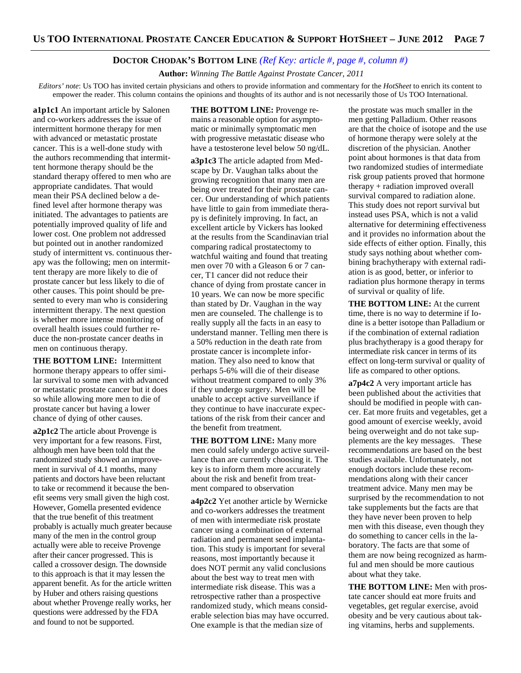## **DOCTOR CHODAK'S BOTTOM LINE** *(Ref Key: article #, page #, column #)*

 **Author:** *Winning The Battle Against Prostate Cancer, 2011*

*Editors' note*: Us TOO has invited certain physicians and others to provide information and commentary for the *HotSheet* to enrich its content to empower the reader. This column contains the opinions and thoughts of its author and is not necessarily those of Us TOO International.

**a1p1c1** An important article by Salonen and co-workers addresses the issue of intermittent hormone therapy for men with advanced or metastatic prostate cancer. This is a well-done study with the authors recommending that intermittent hormone therapy should be the standard therapy offered to men who are appropriate candidates. That would mean their PSA declined below a defined level after hormone therapy was initiated. The advantages to patients are potentially improved quality of life and lower cost. One problem not addressed but pointed out in another randomized study of intermittent vs. continuous therapy was the following; men on intermittent therapy are more likely to die of prostate cancer but less likely to die of other causes. This point should be presented to every man who is considering intermittent therapy. The next question is whether more intense monitoring of overall health issues could further reduce the non-prostate cancer deaths in men on continuous therapy.

**THE BOTTOM LINE:** Intermittent hormone therapy appears to offer similar survival to some men with advanced or metastatic prostate cancer but it does so while allowing more men to die of prostate cancer but having a lower chance of dying of other causes.

**a2p1c2** The article about Provenge is very important for a few reasons. First, although men have been told that the randomized study showed an improvement in survival of 4.1 months, many patients and doctors have been reluctant to take or recommend it because the benefit seems very small given the high cost. However, Gomella presented evidence that the true benefit of this treatment probably is actually much greater because many of the men in the control group actually were able to receive Provenge after their cancer progressed. This is called a crossover design. The downside to this approach is that it may lessen the apparent benefit. As for the article written by Huber and others raising questions about whether Provenge really works, her questions were addressed by the FDA and found to not be supported.

**THE BOTTOM LINE:** Provenge remains a reasonable option for asymptomatic or minimally symptomatic men with progressive metastatic disease who have a testosterone level below 50 ng/dL.

**a3p1c3** The article adapted from Medscape by Dr. Vaughan talks about the growing recognition that many men are being over treated for their prostate cancer. Our understanding of which patients have little to gain from immediate therapy is definitely improving. In fact, an excellent article by Vickers has looked at the results from the Scandinavian trial comparing radical prostatectomy to watchful waiting and found that treating men over 70 with a Gleason 6 or 7 cancer, T1 cancer did not reduce their chance of dying from prostate cancer in 10 years. We can now be more specific than stated by Dr. Vaughan in the way men are counseled. The challenge is to really supply all the facts in an easy to understand manner. Telling men there is a 50% reduction in the death rate from prostate cancer is incomplete information. They also need to know that perhaps 5-6% will die of their disease without treatment compared to only 3% if they undergo surgery. Men will be unable to accept active surveillance if they continue to have inaccurate expectations of the risk from their cancer and the benefit from treatment.

**THE BOTTOM LINE:** Many more men could safely undergo active surveillance than are currently choosing it. The key is to inform them more accurately about the risk and benefit from treatment compared to observation

**a4p2c2** Yet another article by Wernicke and co-workers addresses the treatment of men with intermediate risk prostate cancer using a combination of external radiation and permanent seed implantation. This study is important for several reasons, most importantly because it does NOT permit any valid conclusions about the best way to treat men with intermediate risk disease. This was a retrospective rather than a prospective randomized study, which means considerable selection bias may have occurred. One example is that the median size of

the prostate was much smaller in the men getting Palladium. Other reasons are that the choice of isotope and the use of hormone therapy were solely at the discretion of the physician. Another point about hormones is that data from two randomized studies of intermediate risk group patients proved that hormone therapy + radiation improved overall survival compared to radiation alone. This study does not report survival but instead uses PSA, which is not a valid alternative for determining effectiveness and it provides no information about the side effects of either option. Finally, this study says nothing about whether combining brachytherapy with external radiation is as good, better, or inferior to radiation plus hormone therapy in terms of survival or quality of life.

**THE BOTTOM LINE:** At the current time, there is no way to determine if Iodine is a better isotope than Palladium or if the combination of external radiation plus brachytherapy is a good therapy for intermediate risk cancer in terms of its effect on long-term survival or quality of life as compared to other options.

**a7p4c2** A very important article has been published about the activities that should be modified in people with cancer. Eat more fruits and vegetables, get a good amount of exercise weekly, avoid being overweight and do not take supplements are the key messages. These recommendations are based on the best studies available. Unfortunately, not enough doctors include these recommendations along with their cancer treatment advice. Many men may be surprised by the recommendation to not take supplements but the facts are that they have never been proven to help men with this disease, even though they do something to cancer cells in the laboratory. The facts are that some of them are now being recognized as harmful and men should be more cautious about what they take.

**THE BOTTOM LINE:** Men with prostate cancer should eat more fruits and vegetables, get regular exercise, avoid obesity and be very cautious about taking vitamins, herbs and supplements.